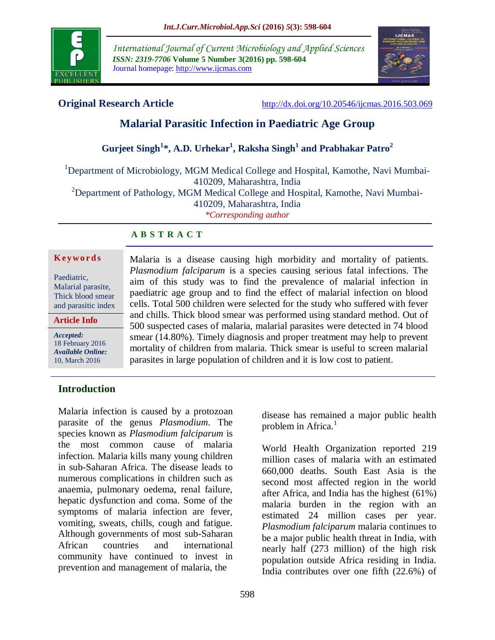

*International Journal of Current Microbiology and Applied Sciences ISSN: 2319-7706* **Volume 5 Number 3(2016) pp. 598-604** Journal homepage: http://www.ijcmas.com



**Original Research Article** <http://dx.doi.org/10.20546/ijcmas.2016.503.069>

# **Malarial Parasitic Infection in Paediatric Age Group**

# **Gurjeet Singh<sup>1</sup> \*, A.D. Urhekar<sup>1</sup> , Raksha Singh<sup>1</sup> and Prabhakar Patro<sup>2</sup>**

<sup>1</sup>Department of Microbiology, MGM Medical College and Hospital, Kamothe, Navi Mumbai-410209, Maharashtra, India <sup>2</sup>Department of Pathology, MGM Medical College and Hospital, Kamothe, Navi Mumbai-410209, Maharashtra, India *\*Corresponding author*

### **A B S T R A C T**

#### **K ey w o rd s**

*Accepted:*  18 February 2016 *Available Online:* 10, March 2016

**Article Info**

Paediatric, Malarial parasite, Thick blood smear and parasitic index

Malaria is a disease causing high morbidity and mortality of patients. *Plasmodium falciparum* is a species causing serious fatal infections. The aim of this study was to find the prevalence of malarial infection in paediatric age group and to find the effect of malarial infection on blood cells. Total 500 children were selected for the study who suffered with fever and chills. Thick blood smear was performed using standard method. Out of 500 suspected cases of malaria, malarial parasites were detected in 74 blood smear (14.80%). Timely diagnosis and proper treatment may help to prevent mortality of children from malaria. Thick smear is useful to screen malarial parasites in large population of children and it is low cost to patient.

# **Introduction**

Malaria infection is caused by a protozoan parasite of the genus *Plasmodium*. The species known as *Plasmodium falciparum* is the most common cause of malaria infection. Malaria kills many young children in sub-Saharan Africa. The disease leads to numerous complications in children such as anaemia, pulmonary oedema, renal failure, hepatic dysfunction and coma. Some of the symptoms of malaria infection are fever, vomiting, sweats, chills, cough and fatigue. Although governments of most sub-Saharan African countries and international community have continued to invest in prevention and management of malaria, the

disease has remained a major public health problem in Africa.<sup>1</sup>

World Health Organization reported 219 million cases of malaria with an estimated 660,000 deaths. South East Asia is the second most affected region in the world after Africa, and India has the highest (61%) malaria burden in the region with an estimated 24 million cases per year. *Plasmodium falciparum* malaria continues to be a major public health threat in India, with nearly half (273 million) of the high risk population outside Africa residing in India. India contributes over one fifth (22.6%) of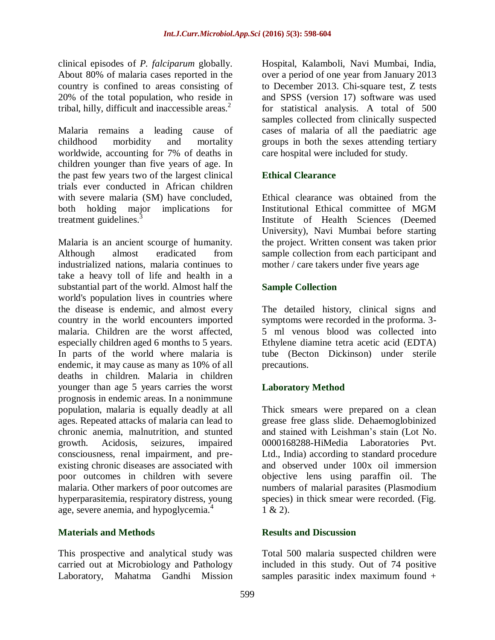clinical episodes of *P. falciparum* globally. About 80% of malaria cases reported in the country is confined to areas consisting of 20% of the total population, who reside in tribal, hilly, difficult and inaccessible areas. 2

Malaria remains a leading cause of childhood morbidity and mortality worldwide, accounting for 7% of deaths in children younger than five years of age. In the past few years two of the largest clinical trials ever conducted in African children with severe malaria (SM) have concluded. both holding major implications for treatment guidelines.<sup>3</sup>

Malaria is an ancient scourge of humanity. Although almost eradicated from industrialized nations, malaria continues to take a heavy toll of life and health in a substantial part of the world. Almost half the world's population lives in countries where the disease is endemic, and almost every country in the world encounters imported malaria. Children are the worst affected, especially children aged 6 months to 5 years. In parts of the world where malaria is endemic, it may cause as many as 10% of all deaths in children. Malaria in children younger than age 5 years carries the worst prognosis in endemic areas. In a nonimmune population, malaria is equally deadly at all ages. Repeated attacks of malaria can lead to chronic anemia, malnutrition, and stunted growth. Acidosis, seizures, impaired consciousness, renal impairment, and preexisting chronic diseases are associated with poor outcomes in children with severe malaria. Other markers of poor outcomes are hyperparasitemia, respiratory distress, young age, severe anemia, and hypoglycemia.<sup>4</sup>

# **Materials and Methods**

This prospective and analytical study was carried out at Microbiology and Pathology Laboratory, Mahatma Gandhi Mission Hospital, Kalamboli, Navi Mumbai, India, over a period of one year from January 2013 to December 2013. Chi-square test, Z tests and SPSS (version 17) software was used for statistical analysis. A total of 500 samples collected from clinically suspected cases of malaria of all the paediatric age groups in both the sexes attending tertiary care hospital were included for study.

# **Ethical Clearance**

Ethical clearance was obtained from the Institutional Ethical committee of MGM Institute of Health Sciences (Deemed University), Navi Mumbai before starting the project. Written consent was taken prior sample collection from each participant and mother / care takers under five years age

# **Sample Collection**

The detailed history, clinical signs and symptoms were recorded in the proforma. 3- 5 ml venous blood was collected into Ethylene diamine tetra acetic acid (EDTA) tube (Becton Dickinson) under sterile precautions.

# **Laboratory Method**

Thick smears were prepared on a clean grease free glass slide. Dehaemoglobinized and stained with Leishman's stain (Lot No. 0000168288-HiMedia Laboratories Pvt. Ltd., India) according to standard procedure and observed under 100x oil immersion objective lens using paraffin oil. The numbers of malarial parasites (Plasmodium species) in thick smear were recorded. (Fig.  $1 \& 2$ ).

### **Results and Discussion**

Total 500 malaria suspected children were included in this study. Out of 74 positive samples parasitic index maximum found +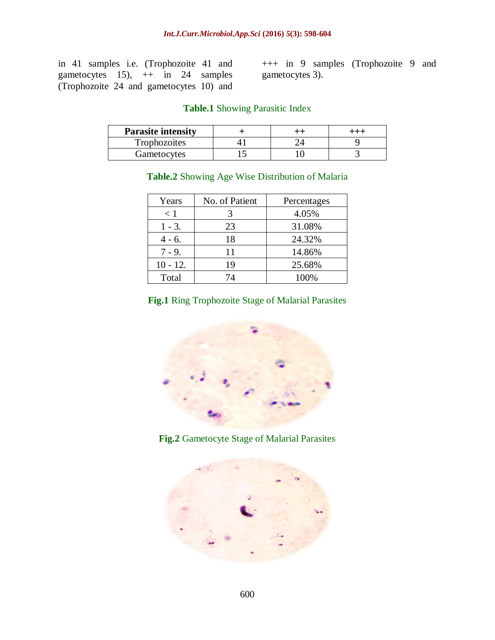in 41 samples i.e. (Trophozoite 41 and gametocytes 15), ++ in 24 samples (Trophozoite 24 and gametocytes 10) and

+++ in 9 samples (Trophozoite 9 and gametocytes 3).

#### **Table.1** Showing Parasitic Index

| <b>Parasite intensity</b> |  |  |
|---------------------------|--|--|
| Trophozoites              |  |  |
| Gametocytes               |  |  |

#### **Table.2** Showing Age Wise Distribution of Malaria

| Years      | No. of Patient | Percentages |
|------------|----------------|-------------|
| < 1        |                | 4.05%       |
| $1 - 3$ .  | 23             | 31.08%      |
| $4 - 6.$   | 18             | 24.32%      |
| $7 - 9.$   | 11             | 14.86%      |
| $10 - 12.$ | 19             | 25.68%      |
| Total      | 74             | 100%        |

### **Fig.1** Ring Trophozoite Stage of Malarial Parasites



**Fig.2** Gametocyte Stage of Malarial Parasites

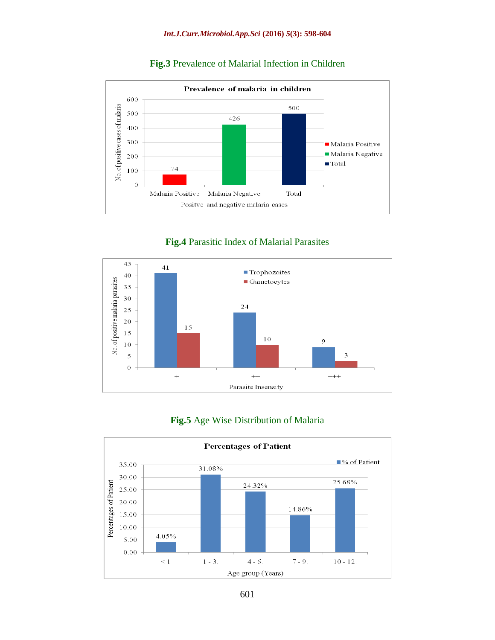

# **Fig.3** Prevalence of Malarial Infection in Children





# **Fig.5** Age Wise Distribution of Malaria

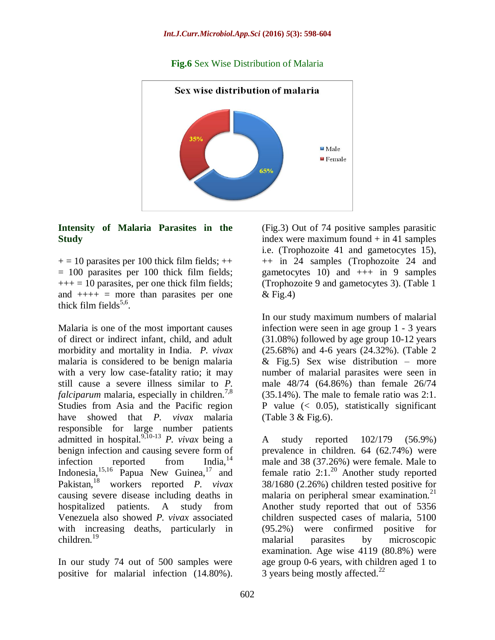

#### **Fig.6** Sex Wise Distribution of Malaria

#### **Intensity of Malaria Parasites in the Study**

 $+ = 10$  parasites per 100 thick film fields;  $++$  $= 100$  parasites per 100 thick film fields;  $+++ = 10$  parasites, per one thick film fields; and  $_{+++}$  = more than parasites per one thick film fields $5.6$ .

Malaria is one of the most important causes of direct or indirect infant, child, and adult morbidity and mortality in India. *P. vivax*  malaria is considered to be benign malaria with a very low case-fatality ratio; it may still cause a severe illness similar to *P. falciparum* malaria, especially in children.<sup>7,8</sup> Studies from Asia and the Pacific region have showed that *P. vivax* malaria responsible for large number patients admitted in hospital. 9,10-13 *P. vivax* being a benign infection and causing severe form of infection reported from India, $14$ Indonesia,  $15,16$  Papua New Guinea,  $17$  and Pakistan,<sup>18</sup> workers reported *P. vivax*  causing severe disease including deaths in hospitalized patients. A study from Venezuela also showed *P. vivax* associated with increasing deaths, particularly in children.<sup>19</sup>

In our study 74 out of 500 samples were positive for malarial infection (14.80%). (Fig.3) Out of 74 positive samples parasitic index were maximum found  $+$  in 41 samples i.e. (Trophozoite 41 and gametocytes 15), ++ in 24 samples (Trophozoite 24 and gametocytes 10) and  $++$  in 9 samples (Trophozoite 9 and gametocytes 3). (Table 1  $&$  Fig.4)

In our study maximum numbers of malarial infection were seen in age group 1 - 3 years (31.08%) followed by age group 10-12 years (25.68%) and 4-6 years (24.32%). (Table 2 & Fig.5) Sex wise distribution – more number of malarial parasites were seen in male 48/74 (64.86%) than female 26/74 (35.14%). The male to female ratio was 2:1. P value  $\approx$  0.05), statistically significant (Table 3 & Fig.6).

A study reported 102/179 (56.9%) prevalence in children. 64 (62.74%) were male and 38 (37.26%) were female. Male to female ratio  $2:1.^{20}$  Another study reported 38/1680 (2.26%) children tested positive for malaria on peripheral smear examination.<sup>21</sup> Another study reported that out of 5356 children suspected cases of malaria, 5100 (95.2%) were confirmed positive for malarial parasites by microscopic examination. Age wise 4119 (80.8%) were age group 0-6 years, with children aged 1 to 3 years being mostly affected. $^{22}$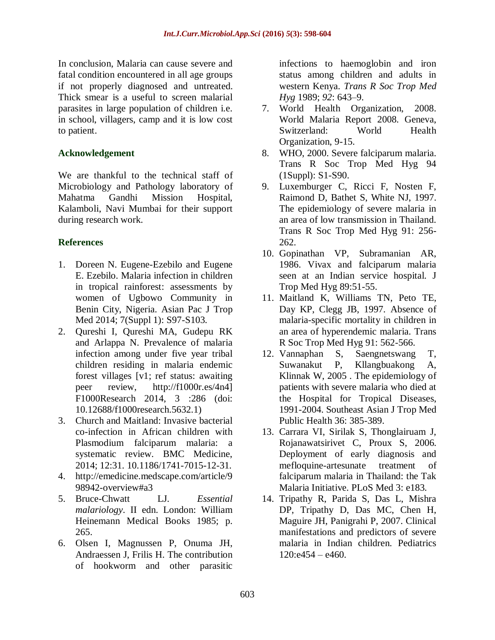In conclusion, Malaria can cause severe and fatal condition encountered in all age groups if not properly diagnosed and untreated. Thick smear is a useful to screen malarial parasites in large population of children i.e. in school, villagers, camp and it is low cost to patient.

# **Acknowledgement**

We are thankful to the technical staff of Microbiology and Pathology laboratory of Mahatma Gandhi Mission Hospital, Kalamboli, Navi Mumbai for their support during research work.

# **References**

- 1. Doreen N. Eugene-Ezebilo and Eugene E. Ezebilo. Malaria infection in children in tropical rainforest: assessments by women of Ugbowo Community in Benin City, Nigeria. Asian Pac J Trop Med 2014; 7(Suppl 1): S97-S103.
- 2. Qureshi I, Qureshi MA, Gudepu RK and Arlappa N. Prevalence of malaria infection among under five year tribal children residing in malaria endemic forest villages [v1; ref status: awaiting peer review, http://f1000r.es/4n4] F1000Research 2014, 3 :286 (doi: 10.12688/f1000research.5632.1)
- 3. Church and Maitland: Invasive bacterial co-infection in African children with Plasmodium falciparum malaria: a systematic review. BMC Medicine, 2014; 12:31. 10.1186/1741-7015-12-31.
- 4. [http://emedicine.medscape.com/article/9](http://emedicine.medscape.com/article/998942-overview#a3) [98942-overview#a3](http://emedicine.medscape.com/article/998942-overview#a3)
- 5. Bruce-Chwatt LJ. *Essential malariology*. II edn. London: William Heinemann Medical Books 1985; p. 265.
- 6. Olsen I, Magnussen P, Onuma JH, Andraessen J, Frilis H. The contribution of hookworm and other parasitic

infections to haemoglobin and iron status among children and adults in western Kenya. *Trans R Soc Trop Med Hyg* 1989; *92*: 643–9.

- 7. World Health Organization, 2008. World Malaria Report 2008. Geneva, Switzerland: World Health Organization, 9-15.
- 8. WHO, 2000. Severe falciparum malaria. Trans R Soc Trop Med Hyg 94 (1Suppl): S1-S90.
- 9. Luxemburger C, Ricci F, Nosten F, Raimond D, Bathet S, White NJ, 1997. The epidemiology of severe malaria in an area of low transmission in Thailand. Trans R Soc Trop Med Hyg 91: 256- 262.
- 10. Gopinathan VP, Subramanian AR, 1986. Vivax and falciparum malaria seen at an Indian service hospital. J Trop Med Hyg 89:51-55.
- 11. Maitland K, Williams TN, Peto TE, Day KP, Clegg JB, 1997. Absence of malaria-specific mortality in children in an area of hyperendemic malaria. Trans R Soc Trop Med Hyg 91: 562-566.
- 12. Vannaphan S, Saengnetswang T, Suwanakut P, Kllangbuakong A, Klinnak W, 2005 . The epidemiology of patients with severe malaria who died at the Hospital for Tropical Diseases, 1991-2004. Southeast Asian J Trop Med Public Health 36: 385-389.
- 13. Carrara VI, Sirilak S, Thonglairuam J, Rojanawatsirivet C, Proux S, 2006. Deployment of early diagnosis and mefloquine-artesunate treatment of falciparum malaria in Thailand: the Tak Malaria Initiative. PLoS Med 3: e183.
- 14. Tripathy R, Parida S, Das L, Mishra DP, Tripathy D, Das MC, Chen H, Maguire JH, Panigrahi P, 2007. Clinical manifestations and predictors of severe malaria in Indian children. Pediatrics  $120: e454 - e460.$